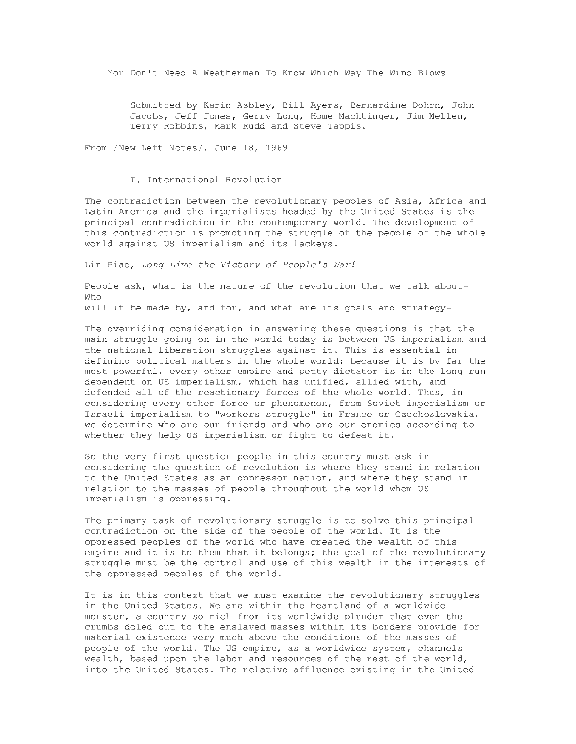You Don't Need A Weatherman To Know Which Way The Wind Blows

Submitted by Karin Asbley, Bill Ayers, Bernardine Dohrn, John Jacobs, Jeff Jones, Gerry Long, Home Macht inger, Jim Mellen, Terry Robbins, Mark Rudd and Steve Tappis.

From /New Left Notes/, June 18, 1969

I. International Revolution

The contradiction between the revolutionary peoples of Asia, Africa and Latin America and the imperialists headed by the United States is the principal contradiction in the contemporary world. The development of this contradiction is promoting the struggle of the people of the whole world against US imperialism and its lackeys

Lin Piao, Long Live the Victory of People's War!

People ask, what is the nature of the revolution that we talk about-Who will it be made by, and for, and what are its goals and strategy-

The overriding consideration in answering these questions is that the main struggle going on in the world today is between US imperialism and the national liberation struggles against it. This is essential in defining political matters in the whole world: because it is by far the most powerful, every other empire and petty dictator is in the long run dependent on US imperialism, which has unified, allied with, and defended all of the reactionary forces of the whole world. Thus, in considering every other force or phenomenon, from Soviet imperialism or Israeli imperialism to "workers struggle" in France or Czechoslovakia, we determine who are our friends and who are our enemies according to whether they help US imperialism or fight to defeat it .

So the very first question people in this country must ask in considering the question of revolution is where they stand in relation to the United States as an oppressor nation, and where they stand in relation to the masses of people throughout the world whom US imperialism is oppressing

The primary task of revolutionary struggle is to solve this principal contradiction on the side of the people of the world . It is the oppressed peoples of the world who have created the wealth of this empire and it is to them that it belongs ; the goal of the revolutionary struggle must be the control and use of this wealth in the interests of the oppressed peoples of the world.

It is in this context that we must examine the revolutionary struggles in the United States. We are within the heartland of a worldwide monster, a country so rich from its worldwide plunder that even the crumbs doled out to the enslaved masses within its borders provide for material existence very much above the conditions of the masses of people of the world. The US empire, as a worldwide system, channels wealth, based upon the labor and resources of the rest of the world, into the United States. The relative affluence existing in the United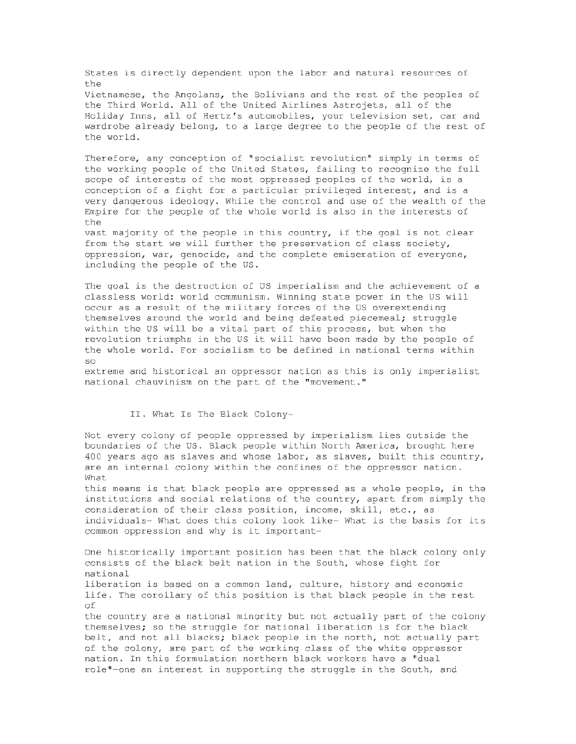states is directly dependent upon the labor and natural resources of the Vietnamese, the Angolans, the Bolivians and the rest of the peoples of the Third World. All of the United Airlines Astrojets, all of the Holiday Inns, all of Hertz's automobiles, your television set, car and wardrobe already belong, to a large degree to the people of the rest of the world.

Therefore, any conception of "socialist revolution" simply in terms of the working people of the United States, failing to recognize the full scope of interests of the most oppressed peoples of the world, is a conception of a fight for a particular privileged interest, and is a very dangerous ideology. While the control and use of the wealth of t Empire for the people of the whole world is also in the interests of the

vast majority of the people in this country, if the goal is not clear from the start we will further the preservation of class society, oppression, war, genocide, and the complete emiseration of everyone, including the people of the US.

The goal is the destruction of US imperialism and the achievement of a classless world: world communism. Winning state power in the US will occur as a result of the military forces of the US overextending themselves around the world and being defeated piecemeal; struggle within the US will be a vital part of this process, but when the revolution triumphs in the US it will have been made by the people of the whole world. For socialism to be defined in national terms within 30

extreme and historical an oppressor nation as this is only imperialist<br>national chauvinism on the part of the "movement."

# II. What Is The Black Colony-

Not every colony of people oppressed by imperialism lies outside the boundaries of the US. Black people within North America, brought here 400 years ago as slaves and whose labor, as slaves, built this country, are an internal colony within the confines of the oppressor nation What

this means is that black people are oppressed as a whole people, in the institutions and social relations of the country, apart from simply the consideration of their class position, income, skill, etc., as individuals- What does this colony look like- What is the basis for its common oppression and why is it important-

One historically important position has been that the black colony only consists of the black belt nation in the South, whose fight for national liberation is based on a common land, culture, history and economic life . The corollary of this position is that black people in the rest ofthe country are a national minority but not actually part of the colony themselves; so the struggle for national liberation is for the black belt, and not all blacks; black people in the north, not actually part of the colony, are part of the working class of the white oppressor nation . In this formulation northern black workers have a "dual role"—one an interest in supporting the struggle in the South, and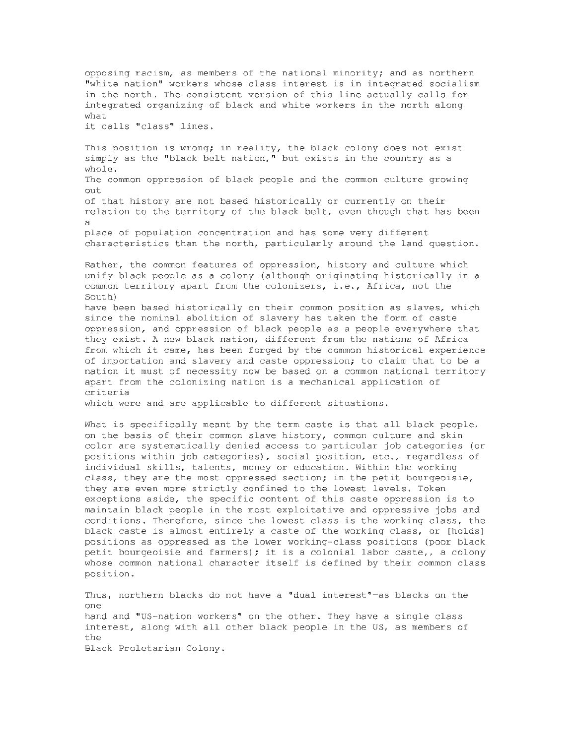opposing racism, as members of the national minority; and as northern "white nation" workers whose class interest is in integrated socialism in the north. The consistent version of this line actually calls for integrated organizing of black and white workers in the north along what it calls "class" lines.

This position is wrong; in reality, the black colony does not exist simply as the "black belt nation," but exists in the country as a whole. The common oppression of black people and the common culture growing  $_{\text{out}}$ of that history are not based historically or currently on their relation to the territory of the black belt, even though that has been  $\overline{a}$ place of population concentration and has some very different characteristics than the north, particularly around the land question,

Rather, the common features of oppression, history and culture which unify black people as a colony (although originating historically in a common territory apart from the colonizers, i.e., Africa, not the South)

have been based historically on their common position as slaves, which since the nominal abolition of slavery has taken the form of caste oppression, and oppression of black people as a people everywhere that they exist. A new black nation, different from the nations of Africa from which it came, has been forged by the common historical experience of importation and slavery and caste oppression; to claim that to be a nation it must of necessity now be based on a common national territory apart from the colonizing nation is a mechanical application of criteria

which were and are applicable to different situations.

What is specifically meant by the term caste is that all black people, on the basis of their common slave history, common culture and skin color are systematically denied access to particular job categories (or positions within job categories), social position, etc., regardless of individual skills, talents, money or education. Within the working class, they are the most oppressed section; in the petit bourgeoisie, they are even more strictly confined to the lowest levels. Token exceptions aside, the specific content of this caste oppression is to maintain black people in the most exploitative and oppressive jobs and conditions. Therefore, since the lowest class is the working class, the black caste is almost entirely a caste of the working class, or [holds] positions as oppressed as the lower working-class positions (poor black petit bourgeoisie and farmers); it is a colonial labor caste,, a colony whose common national character itself is defined by their common class position.

Thus, northern blacks do not have a "dual interest"-as blacks on the one hand and "US-nation workers" on the other. They have a single class interest, along with all other black people in the US, as members of the Black Proletarian Colony.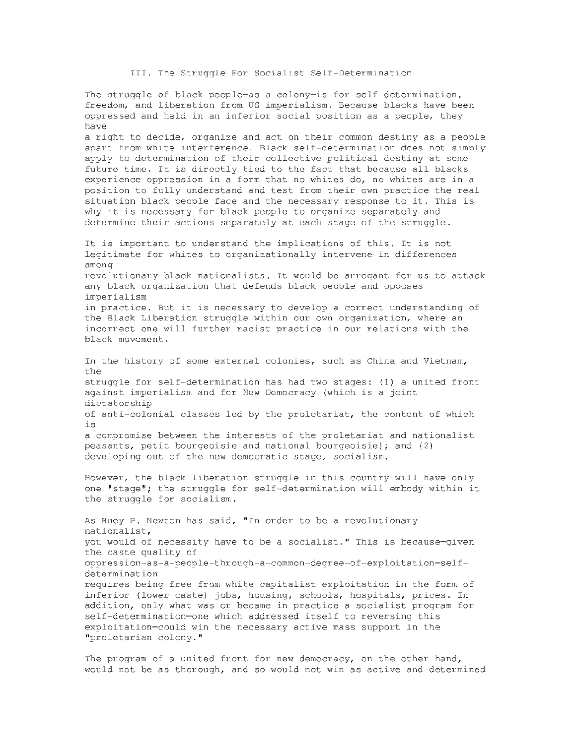### III. The Struggle For Socialist Self-Determination

The struggle of black people—as a colony—is for self-determination, freedom, and liberation from US imperialism. Because blacks have been oppressed and held in an inferior social position as a people, they have a right to decide, organize and act on their common destiny as a people apart from white interference . Black self-determination does not simply apply to determination of their collective political destiny at some future time. It is directly tied to the fact that because all blacks experience oppression in a form that no whites do, no whites are in a position to fully understand and test from their own practice the real situation black people face and the necessary response to it . This is why it is necessary for black people to organize separately and determine their actions separately at each stage of the struggle. It is important to understand the implications of this. It is not legitimate for whites to organizationally intervene in differences among revolutionary black nationalists. It would be arrogant for us to attack any black organization that defends black people and opposes imperialism in practice. But it is necessary to develop a correct understanding of the Black Liberation struggle within our own organization, where an incorrect one will further racist practice in our relations with the black movement. In the history of some external colonies, such as China and Vietnam, the struggle for self-determination has had two stages : (1 ) a united front against imperialism and for New Democracy (which is a joint dictatorship of ant i- colonial classes led by the proletariat, the content of which is a compromise between the interests of the proletariat and nationalist peasants, petit bourgeoisie and national bourgeoisie); and (2) developing out of the new democratic stage, socialism. However, the black liberation struggle in this country will have only one "stage"; the struggle for self-determination will embody within it the struggle for socialism. As Huey P. Newton has said, "In order to be a revolutionary nationalist, you would of necessity have to be a socialist." This is because—given the caste quality of oppression-as-a-people-through-a-common-degree-of-exploitat ion—self determination requires being free from white capitalist exploitation in the form of inferior (lower caste) jobs, housing, schools, hospitals, prices. In addition, only what was or became in practice a socialist program for self-determination—one which addressed itself to reversing this exploitation—could win the necessary active mass support in the "proletarian colony.

The program of a united front for new democracy, on the other hand, would not be as thorough, and so would not win as active and determined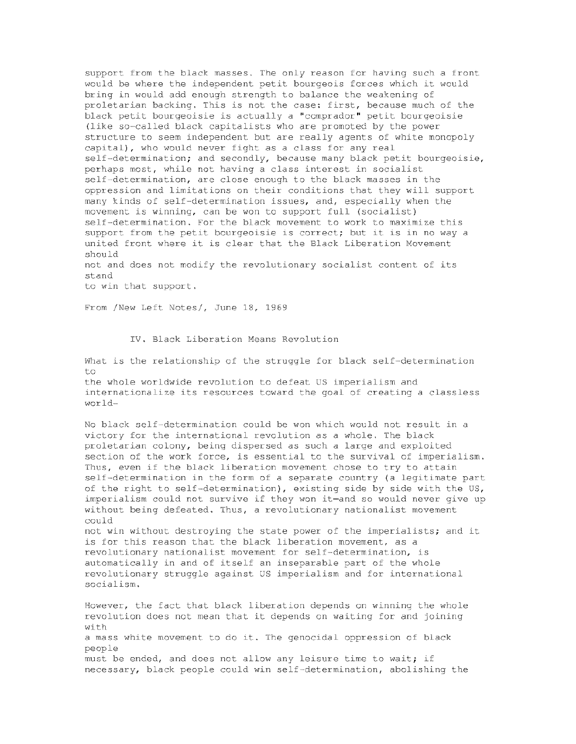support from the black masses. The only reason for having such a front would be where the independent petit bourgeois forces which it would bring in would add enough strength to balance the weakening of proletarian backing. This is not the case: first, because much of the black petit bourgeoisie is actually a "comprador" petit bourgeoisie (like so-called black capitalists who are promoted by the power structure to seem independent but are really agents of white monopoly capital), who would never fight as a class for any real self-determination; and secondly, because many black petit bourgeoisie, perhaps most, while not having a class interest in socialist self-determination, are close enough to the black masses in the oppression and limitations on their conditions that they will support many kinds of self-determination issues, and, especially when the movement is winning, can be won to support full (socialist) self-determination . For the black movement to work to maximize this support from the petit bourgeoisie is correct; but it is in no way a united front where it is clear that the Black Liberation Movement should not and does not modify the revolutionary socialist content of its stand

to win that support

From /New Left Notes/, June 18, 1969

#### IV. Black Liberation Means Revolution

What is the relationship of the struggle for black self-determination  $\overline{a}$ 

the whole worldwide revolution to defeat US imperialism and internationalize its resources toward the goal of creating a classless world-

No black self-determination could be won which would not result in a victory for the international revolution as a whole. The black proletarian colony, being dispersed as such a large and exploited section of the work force, is essential to the survival of imperialism Thus, even if the black liberation movement chose to try to attain self-determination in the form of a separate country (a legitimate part of the right to self-determination), existing side by side with the US, imperialism could not survive if they won it—and so would never give up without being defeated. Thus, a revolutionary nationalist movement could not win without destroying the state power of the imperialists; and it is for this reason that the black liberation movement, as a revolutionary nationalist movement for self-determination, is

automatically in and of itself an inseparable part of the whole revolutionary struggle against US imperialism and for international

However, the fact that black liberation depends on winning the whole revolution does not mean that it depends on waiting for and joining with a mass white movement to do it. The genocidal oppression of black people must be ended, and does not allow any leisure time to wait ; if necessary, black people could win self-determination, abolishing the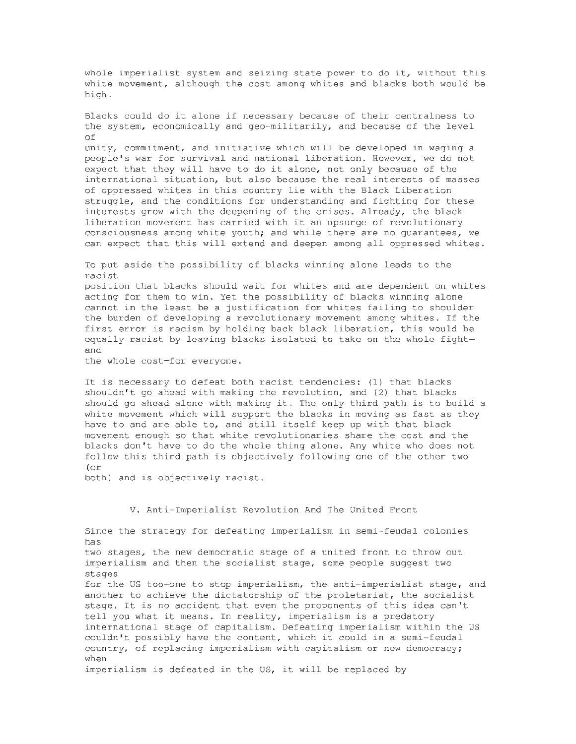whole imperialist system and seizing state power to do it, without this white movement, although the cost among whites and blacks both would be high.

Blacks could do it alone if necessary because of their centralness to the system, economically and geo-militarily, and because of the level ofunity, commitment, and initiative which will be developed in waging a

people's war for survival and national liberation. However, we do not expect that they will have to do it alone, not only because of the international situation, but also because the real interests of masses of oppressed whites in this country lie with the Black Liberation struggle, and the conditions for understanding and fighting for these interests grow with the deepening of the crises. Already, the black liberation movement has carried with it an upsurge of revolutionary consciousness among white youth; and while there are no guarantees, we can expect that this will extend and deepen among all oppressed whites.

To put aside the possibility of blacks winning alone leads to the

position that blacks should wait for whites and are dependent on whites acting for them to win. Yet the possibility of blacks winning alone cannot in the least be a justification for whites failing to shoulder the burden of developing a revolutionary movement among whites. If the first error is racism by holding back black liberation, this would be equally racist by leaving blacks isolated to take on the whole fight and

the whole cost—for everyone

It is necessary to defeat both racist tendencies: (1) that blacks shouldn't go ahead with making the revolution, and (2) that blacks should go ahead alone with making it . The only third path is to build a white movement which will support the blacks in moving as fast as they have to and are able to, and still itself keep up with that black movement enough so that white revolutionaries share the cost and the blacks don't have to do the whole thing alone. Any white who does not follow this third path is objectively following one of the other two (or

both) and is objectively racist.

V. Anti- Imperialist Revolution And The United Front

Since the strategy for defeating imperialism in semi-feudal colonies has two stages , the new democratic stage of a united front to throw out imperialism and then the socialist stage, some people suggest two stages for the US too—one to stop imperialism, the anti-imperialist stage, and another to achieve the dictatorship of the proletariat, the socialist stage. It is no accident that even the proponents of this idea can't tell you what it means. In reality, imperialism is a predatory international stage of capitalism. Defeating imperialism within the US couldn't possibly have the content, which it could in a semi-feudal country, of replacing imperialism with capitalism or new democracy; when imperialism is defeated in the US, it will be replaced by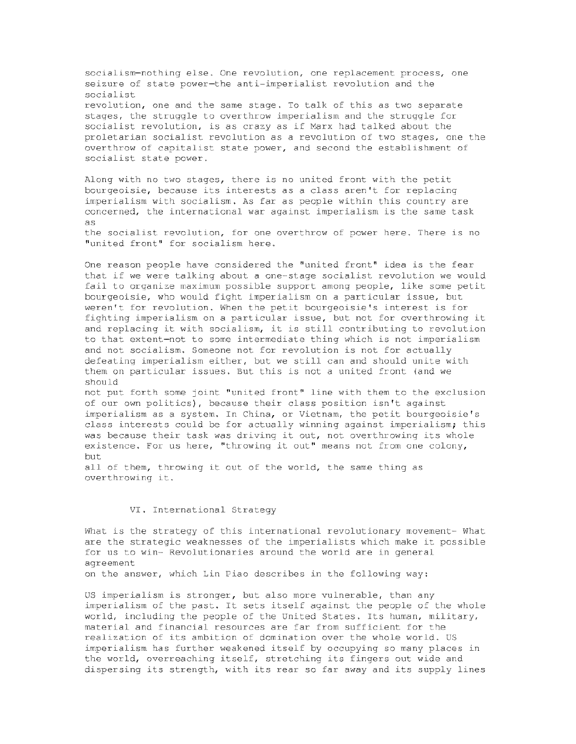socialism-nothing else. One revolution, one replacement process, one socialism—nothing else. One revolution, one replacement process,<br>seizure of state power—the anti-imperialist revolution and the socialist revolution, one and the same stage. To talk of this as two separate stages, the struggle to overthrow imperialism and the struggle for socialist revolution, is as crazy as if Marx had talked about the proletarian socialist revolution as a revolution of two stages, one the overthrow of capitalist state power, and second the establishment o socialist state power

Along with no two stages, there is no united front with the petit bourgeoisie, because its interests as a class aren't for replacing imperialism with socialism. As far as people within this country are concerned, the international war against imperialism is the same task

the socialist revolution, for one overthrow of power here. There i<br>"united front" for socialism here.

One reason people have considered the "united front" idea is the fear that if we were talking about a one-stage socialist revolution we would fail to organize maximum possible support among people, like some petit bourgeoisie, who would fight imperialism on a particular issue, but weren't for revolution, When the petit bourgeoisie's interest is for fighting imperialism on a particular issue, but not for overthrowing it and replacing it with socialism, it is still contributing to revolution to that extent—not to some intermediate thing which is not imperialism and not socialism. Someone not for revolution is not for actually defeating imperialism either, but we still can and should unite with s. But this is not a united front (and we should

not put forth some joint "united front" line with them to the ex of our own politics), because their class position isn't against imperialism as a system. In China, or Vietnam, the petit bourgeoisie's class interests could be for actually winning against imperialism; this was because their task was driving it out, not overthrowing its whole but

of them, throwing it out of the wo overthrowing it.

# VI. International Strategy

What is the strategy of this international revolutionary movement- What are the strategic weaknesses of the imperialists which make it possible for us to win- Revolutionaries around the world are in general agreement on the answer, which Lin Piao describes in the following way:

US imperialism is stronger, but also more vulnerable, than any imperialism of the past. It sets itself against the people of the whole world, including the people of the United States. Its human, military, material and financial resources are far from sufficient for the realization of its ambition of domination over the whole world. US imperialism has further weakened itself by occupying so many places in the world, overreaching itself, stretching its fingers out wide and dispersing its strength, with its rear so far away and its supply lines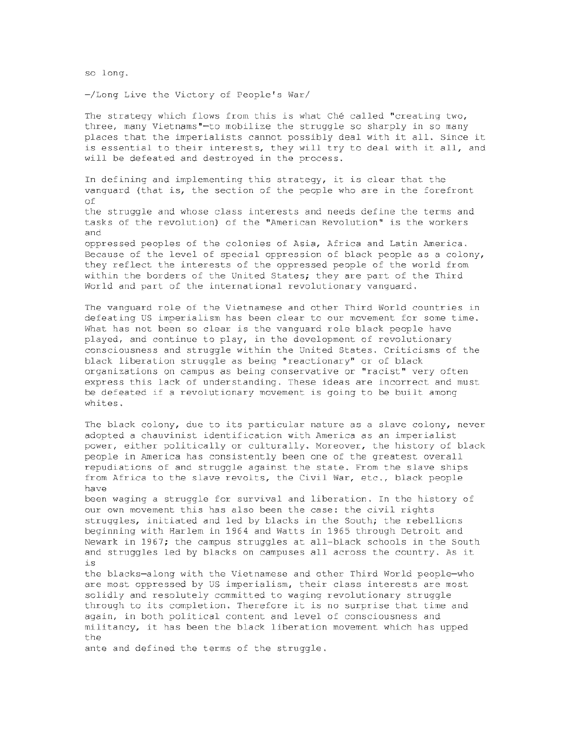so long.

-/Long Live the Victory of People's War/

The strategy which flows from this is what Ché called "creating two. three, many Vietnams"-to mobilize the struggle so sharply in so many places that the imperialists cannot possibly deal with it all. Since it is essential to their interests, they will try to deal with it all, and will be defeated and destroyed in the process.

1 defining and implementing this strategy, it is clear that the inguard (that is, the section of the people who are in the forefront

uggle and whose c f the revolution) of the "American Revolution" is the wo and

oppressed peoples of the colonies of Asia, Africa and Latin America. Because of the level of special oppression of black people as a colony, they reflect the interests of the oppressed people of the world from within the borders of the United States; they are part of the Third World and part of the international revolutionary vanguard.

The vanguard role of the Vietnamese and other Third World countries in defeating US imperialism has been clear to our movement for some time What has not been so clear is the vanguard role black people have played, and continue to play, in the development of revolutionary consciousness and struggle within the United States. Criticisms of the black liberation struggle as being "reactionary" or of black organizations on campus as being conservative or "racist" very often express this lack of understanding. These ideas are incorrect and must be defeated if a revolutionary movement is going to be built among whites

The black colony, due to its particular nature as a slave colony, never adopted a chauvinist identification with America as an imperialist power, either politically or culturally. Moreover, the history of black people in America has consistently been one of the greatest overall repudiations of and struggle against the state. From the slave ships from Africa to the slave revolts, the Civil War, etc., black people have

been waging a struggle for survival and liberation . In the history of our own movement this has also been the case: the civil rights struggles, initiated and led by blacks in the South; the rebellions beginning with Harlem in 1964 and Watts in 1965 through Detroit and Newark in 1967; the campus struggles at all-black schools in the South and struggles led by blacks on campuses all across the country . As it  $i.e.$ 

the blacks—along with the Vietnamese and other Third World people—who are most oppressed by US imperialism, their class interests are most solidly and resolutely committed to waging revolutionary struggle through to its completion. Therefore it is no surprise that time and again, in both political content and level of consciousness and militancy, it has been the black liberation movement which has upped the

ante and defined the terms of the struggle.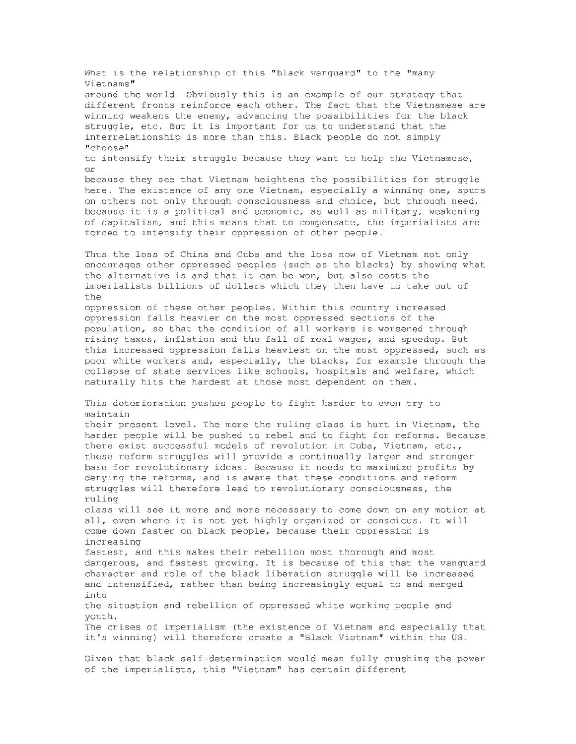What is the relationship of this "black vanguard" to the "many Vietnams" around the world- Obviously this is an example of our strategy that different fronts reinforce each other. The fact that the Vietnamese are winning weakens the enemy, advancing the possibilities for the black struggle, etc. But it is important for us to understand that the interrelationship is more than this. Black people do not simply<br>"choose" to intensify their struggle because they want to help the Vietnamese, or because they see that Vietnam heightens the possibilities for struggle here. The existence of any one Vietnam, especially a winning one, spurs on others not only through consciousness and choice, but through need, because it is a political and economic, as well as military, weakening of capitalism, and this means that to compensate, the imperialists are forced to intensify their oppression of other people. Thus the loss of China and Cuba and the loss now of Vietnam not only encourages other oppressed peoples (such as the blacks) by showing what the alternative is and that it can be won, but also costs the imperialists billions of dollars which they then have to take out of the oppression of these other peoples. Within this country increased oppression falls heavier on the most oppressed sections of the population, so that the condition of all workers is worsened through rising taxes, inflation and the fall of real wages, and speedup. But this increased oppression falls heaviest on the most oppressed, such as poor white workers and, especially, the blacks, for example through the collapse of state services like schools, hospitals and welfare, which naturally hits the hardest at those most dependent on them This deterioration pushes people to fight harder to even try to maintain their present level . The more the ruling class is hurt in Vietnam, the harder people will be pushed to rebel and to fight for reforms. Because there exist successful models of revolution in Cuba, Vietnam, etc., these reform struggles will provide a continually larger and stronger base for revolutionary ideas. Because it needs to maximize profits by denying the reforms, and is aware that these conditions and reform struggles will therefore lead to revolutionary consciousness, the ruling class will see it more and more necessary to come down on any motion at all, even where it is not yet highly organized or conscious. It will come down faster on black people, because their oppression is increasing fastest, and this makes their rebellion most thorough and most dangerous, and fastest growing. It is because of this that the vanguard character and role of the black liberation struggle will be increased and intensified, rather than being increasingly equal to and merged into the situation and rebellion of oppressed white working people and vouth. The crises of imperialism (the existence of Vietnam and especially that it's winning) will therefore create a "Black Vietnam" within the US. Given that black self-determination would mean fully crushing the power

of the imperialists, this "Vietnam" has certain different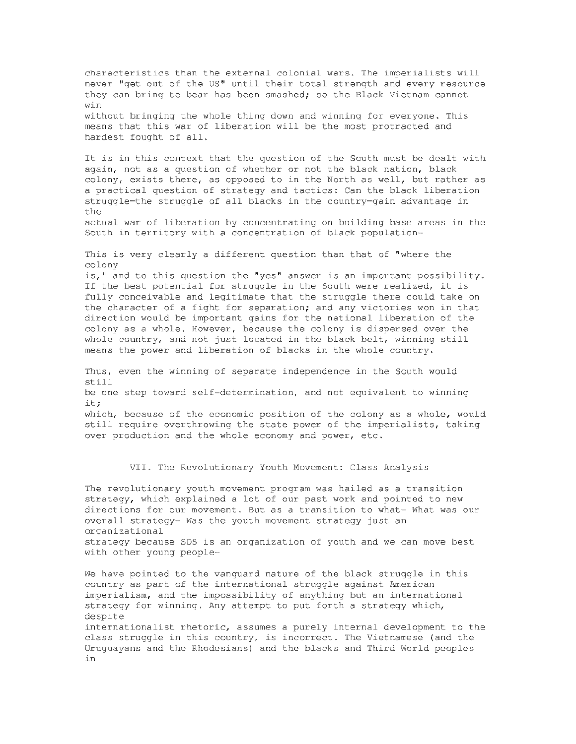characteristics than the external colonial wars. The imperialists will never "get out of the US" until their total strength and every resource they can bring to bear has been smashed; so the Black Vietnam cannot win without bringing the whole thing down and winning for everyone. This means that this war of liberation will be the most protracted and hardest fought of all. It is in this context that the question of the South must be dealt with again, not as a question of whether or not the black nation, black colony, exists there, as opposed to in the North as well, but rather as a practical question of strategy and tactics: Can the black liberation struggle—the struggle of all blacks in the country—gain advantage in the actual war of liberation by concentrating on building base areas in the South in territory with a concentration of black population-This is very clearly a different question than that of "where the colony is, " and to this question the "yes" answer is an important possibility. If the best potential for struggle in the South were realized, it is fully conceivable and legitimate that the struggle there could take on the character of a fight for separation; and any victories won in that direction would be important gains for the national liberation of the colony as a whole . However, because the colony is dispersed over the whole country, and not just located in the black belt, winning still means the power and liberation of blacks in the whole country. Thus, even the winning of separate independence in the South would still be one step toward self-determination, and not equivalent to winning it; which, because of the economic position of the colony as a whole, would still require overthrowing the state power of the imperialists, taking over production and the whole economy and power, etc VII. The Revolutionary Youth Movement: Class Analysis The revolutionary youth movement program was hailed as a transition

strategy, which explained a lot of our past work and pointed to new directions for our movement. But as a transition to what- What was our overall strategy- Was the youth movement strategy just an organizational strategy because SDS is an organization of youth and we can move best with other young people-

We have pointed to the vanguard nature of the black struggle in this country as part of the international struggle against American imperialism, and the impossibility of anything but an international strategy for winning. Any attempt to put forth a strategy which, despite

internationalist rhetoric, assumes a purely internal development to the class struggle in this country, is incorrect. The Vietnamese (and the Uruquayans and the Rhodesians) and the blacks and Third World peoples in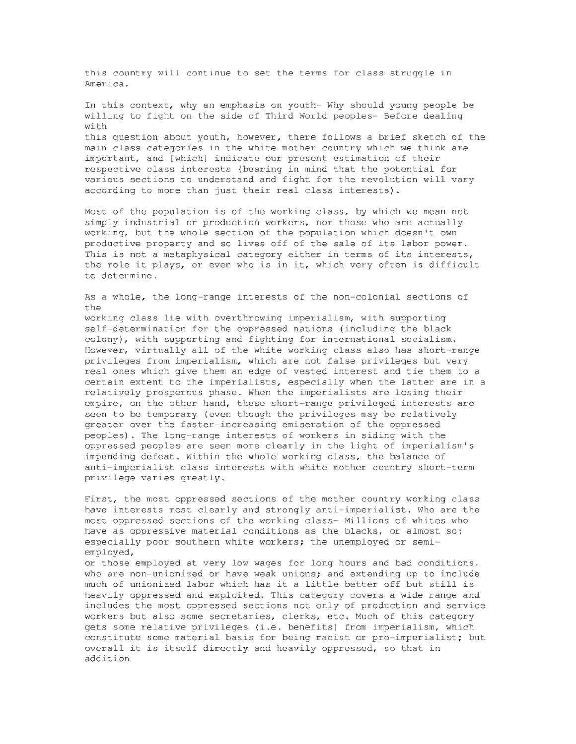this country will continue to set the terms for class struggle in America.

In this context, why an emphasis on youth- Why should young people be willing to fight on the side of Third World peoples- Before dealing with this question about youth, however, there follows a brief sketch of the main class categories in the white mother country which we think are important, and [which] indicate our present estimation of their respective class interests (bearing in mind that the potential for various sections to understand and fight for the revolution will vary according to more than just their real class interests).

Most of the population is of the working class, by which we mean not simply industrial or production workers, nor those who are actually working, but the whole section of the population which doesn't own productive property and so lives off of the sale of its labor power This is not a metaphysical category either in terms of its interests, the role it plays, or even who is in it, which very often is difficult to determine.

As a whole, the long-range interests of the non-colonial sections of the

working class lie with overthrowing imperialism, with supporting self-determination for the oppressed nations (including the black colony), with supporting and fighting for international socialism. However, virtually all of the white working class also has short-range privileges from imperialism, which are not false privileges but very real ones which give them an edge of vested interest and tie them to a certain extent to the imperialists, especially when the latter are in a relatively prosperous phase . When the imperialists are losing their empire, on the other hand, these short-range privileged interests are seen to be temporary (even though the privileges may be relatively greater over the faster- increasing emiseration of the oppressed peoples) . The long-range interests of workers in siding with the oppressed peoples are seen more clearly in the light of imperialism's impending defeat. Within the whole working class, the balance of anti-imperialist class interests with white mother country short-term privilege varies greatly

First, the most oppressed sections of the mother country working class have interests most clearly and strongly ant i- imperialist . Who are the most oppressed sections of the working class- Millions of whites who have as oppressive material conditions as the blacks, or almost so: especially poor southern white workers: the unemployed or semiemployed,

or those employed at very low wages for long hours and bad conditions, who are non-unionized or have weak unions; and extending up to include much of unionized labor which has it a little better off but still is heavily oppressed and exploited. This category covers a wide range and includes the most oppressed sections not only of production and service workers but also some secretaries, clerks, etc. Much of this category gets some relative privileges (i.e. benefits) from imperialism, which constitute some material basis for being racist or pro-imperialist; but overall it is itself directly and heavily oppressed, so that in addition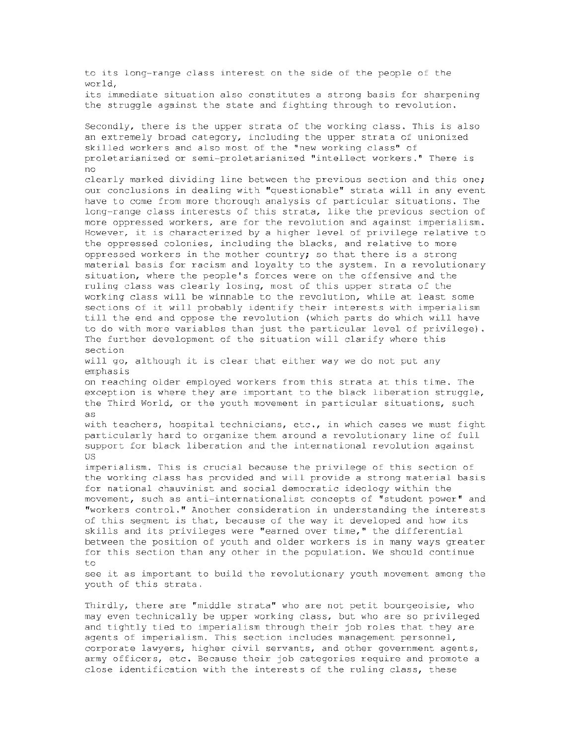to its long-range class interest on the side of the people of the world, its immediate situation also constitutes a strong basis for sharpening the struggle against the state and fighting through to revolution Secondly, there is the upper strata of the working class. This is also an extremely broad category, including the upper strata of unionized skilled workers and also most of the "new working class" of proletarianized or semi-proletarianized "intellect workers . " There is  $n<sub>0</sub>$ clearly marked dividing line between the previous section and this one; our conclusions in dealing with "questionable" strata will in any event have to come from more thorough analysis of particular situations. The long-range class interests of this strata, like the previous section of more oppressed workers, are for the revolution and against imperialism. However, it is characterized by a higher level of privilege relative to the oppressed colonies, including the blacks, and relative to more oppressed workers in the mother country; so that there is a strong material basis for racism and loyalty to the system. In a revolutionary situation, where the people's forces were on the offensive and the ruling class was clearly losing, most of this upper strata of the working class will be winnable to the revolution, while at least some sections of it will probably identify their interests with imperialism till the end and oppose the revolution (which parts do which will have to do with more variables than just the particular level of privilege) The further development of the situation will clarify where this section will go, although it is clear that either way we do not put any emphasis on reaching older employed workers from this strata at this time. The exception is where they are important to the black liberation struggle, the Third World, or the youth movement in particular situations, such as with teachers, hospital technicians, etc., in which cases we must fight particularly hard to organize them around a revolutionary line of full support for black liberation and the international revolution against USimperialism. This is crucial because the privilege of this section of the working class has provided and will provide a strong material basis for national chauvinist and social democratic ideology within the movement , such as anti-internationalist concepts of "student power" and "workers control." Another consideration in understanding the interests of this segment is that, because of the way it developed and how its skills and its privileges were "earned over time, "the differential between the position of youth and older workers is in many ways greater for this section than any other in the population . We should continue tosee it as important to build the revolutionary youth movement among the youth of this strata. Thirdly, there are "middle strata" who are not petit bourgeoisie, who may even technically be upper working class, but who are so privileged

and tightly tied to imperialism through their job roles that they are agents of imperialism. This section includes management personnel, corporate lawyers, higher civil servants, and other government agents, army officers, etc. Because their job categories require and promote a close identification with the interests of the ruling class, these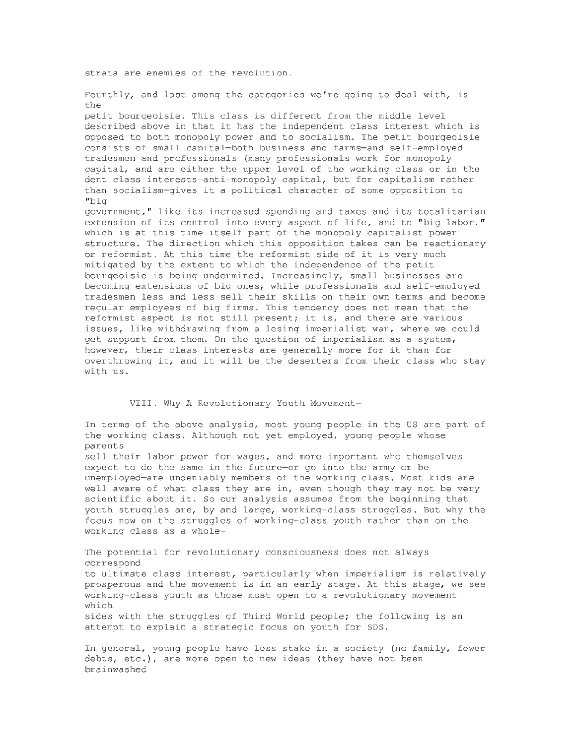strata are enemies of the revolution.

Fourthly, and last among the categories we 're going to deal with, is the

petit bourgeoisie. This class is different from the middle level described above in that it has the independent class interest which is opposed to both monopoly power and to socialism. The petit bourgeoisie consists of small capital—both business and farms—and self-employed tradesmen and professionals (many professionals work for monopoly capital, and are either the upper level of the working class or in the dent class interests-anti-monopoly capital, but for capitalism rather than socialism—gives it a political character of some opposition to "big

government, " like its increased spending and taxes and its totalitarian extension of its control into every aspect of life, and to "big labor, " which is at this time itself part of the monopoly capitalist power structure. The direction which this opposition takes can be reactionary or reformist. At this time the reformist side of it is very much mitigated by the extent to which the independence of the petit bourgeoisie is being undermined. Increasingly, small businesses are becoming extensions of big ones, while professionals and self-employed tradesmen less and less sell their skills on their own terms and become regular employees of big firms. This tendency does not mean that the reformist aspect is not still present; it is, and there are various issues, like withdrawing from a losing imperialist war, where we could get support from them. On the question of imperialism as a system, however, their class interests are generally more for it than for overthrowing it, and it will be the deserters from their class who stay with us.

# VIII. Why A Revolutionary Youth Movement-

In terms of the above analysis , most young people in the US are part of the working class. Although not yet employed, young people whose parents

sell their labor power for wages, and more important who themselves expect to do the same in the future—or go into the army or be unemployed-are undeniably members of the working class. Most kids are well aware of what class they are in, even though they may not be very scientific about it. So our analysis assumes from the beginning that youth struggles are, by and large, working-class struggles . But why the focus now on the struggles of working-class youth rather than on the working class as a whole-

The potential for revolutionary consciousness does not always correspond to ultimate class interest, particularly when imperialism is relatively prosperous and the movement is in an early stage. At this stage, we see working-class youth as those most open to a revolutionary movement sides with the struggles of Third World people; the following is an attempt to explain a strategic focus on youth for SDS

In general, young people have less stake in a society (no family, fewer debts, etc.), are more open to new ideas (they have not been brainwashed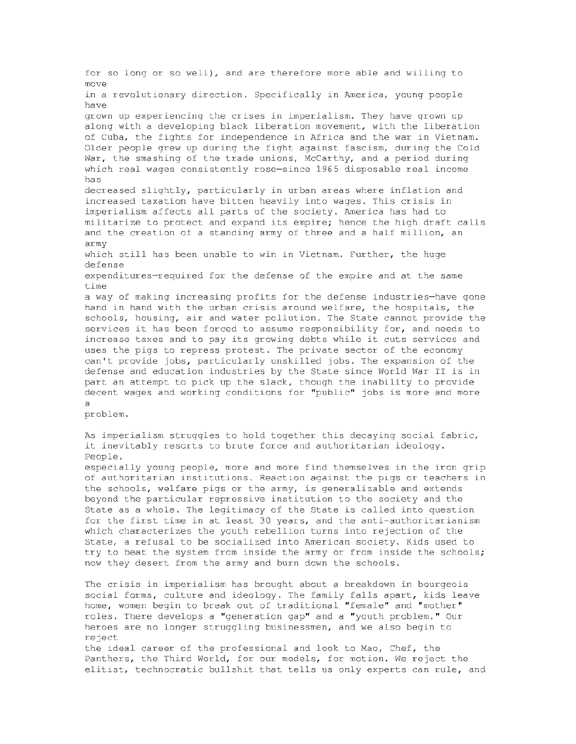for so long or so well), and are therefore more able and willing to move in a revolutionary direction. Specifically in America, young people<br>have grown up experiencing the crises in imperialism. They have grown up along with a developing black liberation movement, with the liberation of Cuba, the fights for independence in Africa and the war in Vietnam. Older people grew up during the fight against fascism, during the Cold War, the smashing of the trade unions, McCarthy, and a period during which real wages consistently rose-since 1965 disposable real income has decreased slightly, particularly in urban areas where inflation and increased taxation have bitten heavily into wages. This crisis in imperialism affects all parts of the society . America has had to militarize to protect and expand its empire; hence the high draft calls and the creation of a standing army of three and a half million, an army which still has been unable to win in Vietnam. Further, the huge defense expenditures—required for the defense of the empire and at the same time a way of making increasing profits for the defense industries—have gone hand in hand with the urban crisis around welfare, the hospitals, the schools, housing, air and water pollution. The State cannot provide the services it has been forced to assume responsibility for, and needs to increase taxes and to pay its growing debts while it cuts services and uses the pigs to repress protest. The private sector of the economy can't provide jobs, particularly unskilled jobs. The expansion of the defense and education industries by the State since World War II is in part an attempt to pick up the slack, though the inability to provide decent wages and working conditions for "public" jobs is more and more  $\mathbf{a}$ problem. As imperialism struggles to hold together this decaying social fabric, it inevitably resorts to brute force and authoritarian ideology. People, especially young people, more and more find themselves in the iron grip of authoritarian institutions. Reaction against the pigs or teachers in the schools, welfare pigs or the army, is generalizable and extends beyond the particular repressive institution to the society and the State as a whole. The legitimacy of the State is called into question for the first time in at least 30 years, and the anti-authoritarianism which characterizes the youth rebellion turns into rejection of the State, a refusal to be socialized into American society. Kids used to try to beat the system from inside the army or from inside the schools; now they desert from the army and burn down the schools The crisis in imperialism has brought about a breakdown in bourgeois social forms, culture and ideology. The family falls apart, kids leave home, women begin to break out of traditional "female" and "mother" roles . There develops a "generation gap" and a "youth problem. " Our heroes are no longer struggling businessmen, and we also begin to reject

the ideal career of the professional and look to Mao, Chef, the Panthers, the Third World, for our models, for motion. We reject the elitist, technocratic bullshit that tells us only experts can rule, and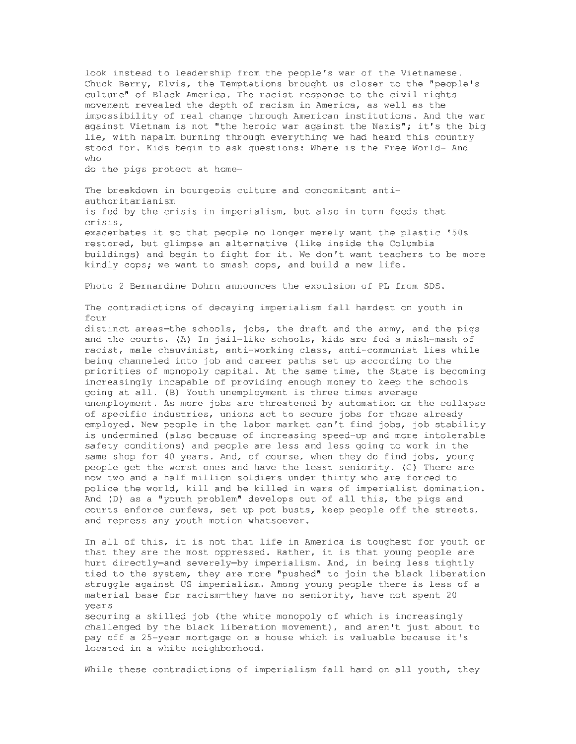look instead to leadership from the people's war of the Vietnamese. Chuck Berry, Elvis, the Temptations brought us closer to the "people's culture" of Black America. The racist response to the civil rights movement revealed the depth of racism in America, as well as the impossibility of real change through American institutions. And the war against Vietnam is not "the heroic war against the Nazis"; it's the big lie, with napalm burning through everything we had heard this country stood for. Kids begin to ask questions: Where is the Free World- And  $whn$ 

do the pigs protect at home-

The breakdown in bourgeois culture and concomitant anti-<br>authoritarianism is fed by the crisis in imperialism, but also in turn feeds that crisis, exacerbates it so that people no longer merely want the plastic '50s restored, but glimpse an alternative (like inside the Columbia buildings) and begin to fight for it. We don't want teachers to be more kindly cops; we want to smash cops, and build a new life.

Photo 2 Bernardine Dohrn announces the expulsion of PL from SDS,

The contradictions of decaving imperialism fall hardest on youth in four

distinct areas-the schools, jobs, the draft and the army, and the pigs and the courts. (A) In jail-like schools, kids are fed a mish-mash of racist, male chauvinist, anti-working class, anti-communist lies while being channeled into job and career paths set up according to the priorities of monopoly capital. At the same time, the State is becoming increasingly incapable of providing enough money to keep the schools going at all. (B) Youth unemployment is three times average unemployment. As more jobs are threatened by automation or the collapse of specific industries, unions act to secure jobs for those already employed. New people in the labor market can't find jobs, job stability is undermined (also because of increasing speed-up and more intolerable safety conditions) and people are less and less going to work in the same shop for 40 years. And, of course, when they do find jobs, young people get the worst ones and have the least seniority. (C) There are now two and a half million soldiers under thirty who are forced to police the world, kill and be killed in wars of imperialist domination. And (D) as a "youth problem" develops out of all this, the pigs and courts enforce curfews, set up pot busts, keep people off the streets, and repress any youth motion whatsoever.

In all of this, it is not that life in America is toughest for vouth or that they are the most oppressed. Rather, it is that young people are hurt directly-and severely-by imperialism. And, in being less tightly tied to the system, they are more "pushed" to join the black liberation struggle against US imperialism. Among young people there is less of a material base for racism-they have no seniority, have not spent 20 vears

securing a skilled job (the white monopoly of which is increasingly challenged by the black liberation movement), and aren't just about to pay off a 25-year mortgage on a house which is valuable because it's located in a white neighborhood.

While these contradictions of imperialism fall hard on all youth, they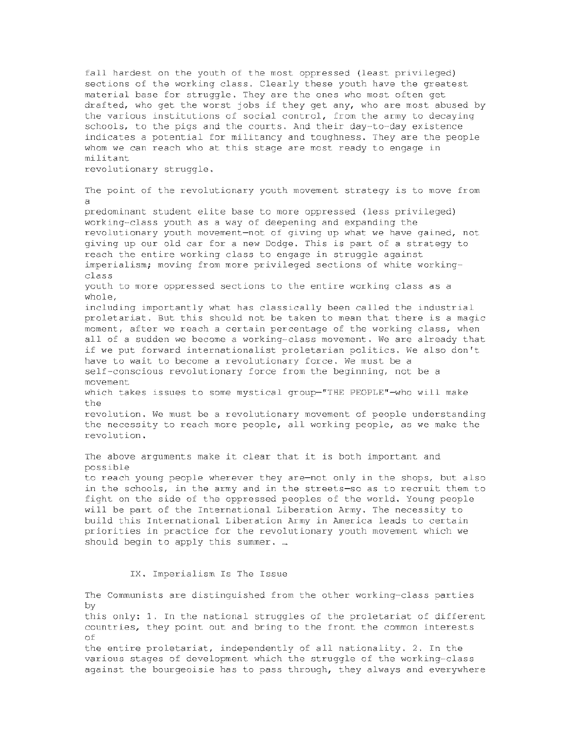fall hardest on the youth of the most oppressed (least privileged) sections of the working class. Clearly these youth have the greatest material base for struggle. They are the ones who most often get drafted, who get the worst jobs if they get any, who are most abused by the various institutions of social control, from the army to decaying schools, to the pigs and the courts. And their day-to-day existence indicates a potential for militancy and toughness . They are the people whom we can reach who at this stage are most ready to engage in militant

revolutionary struggle.

The point of the revolutionary youth movement strategy is to move from  $\overline{a}$ predominant student elite base to more oppressed (less privileged) working-class youth as a way of deepening and expanding the revolutionary youth movement—not of giving up what we have gained, not giving up our old car for a new Dodge. This is part of a strategy to reach the entire working class to engage in struggle against imperialism; moving from more privileged sections of white workingclass youth to more oppressed sections to the entire working class as a whole, including importantly what has classically been called the industrial proletariat. But this should not be taken to mean that there is a magic moment, after we reach a certain percentage of the working class, when all of a sudden we become a working-class movement . We are already that if we put forward internationalist proletarian politics . We also don ' have to wait to become a revolutionary force. We mu become a revolutionary force. We must be a<br>evolutionary force from the beginning, not movement which takes issues to some mystical group-"THE PEOPLE"-who will make the revolution. We must be a revolutionary movement of people un the necessity to reach more people, all working people, as revolution The above arguments make it clear that it is both important and possible to reach young people wherever they are—not only in the shops, but also in the schools, in the army and in the streets—so as to recruit them to

fight on the side of the oppressed peoples of the world. Young people will be part of the International Liberation Army. The necessity to build this International Liberation Army in America leads to certain priorities in practice for the revolutionary youth movement which we should begin to apply this summer. ...

IX. Imperialism Is The Issue

The Communists are distinguished from the other working-class parties bv only: 1. In the national struggles of the proletar only: 1. In the national struggles of the proletariat of differen<br>ries, they point out and bring to the front the common interests of the entire proletariat, independently of all nationality. 2. In the various stages of development which the struggle of the working-class against the bourgeoisie has to pass through, they always and everywhere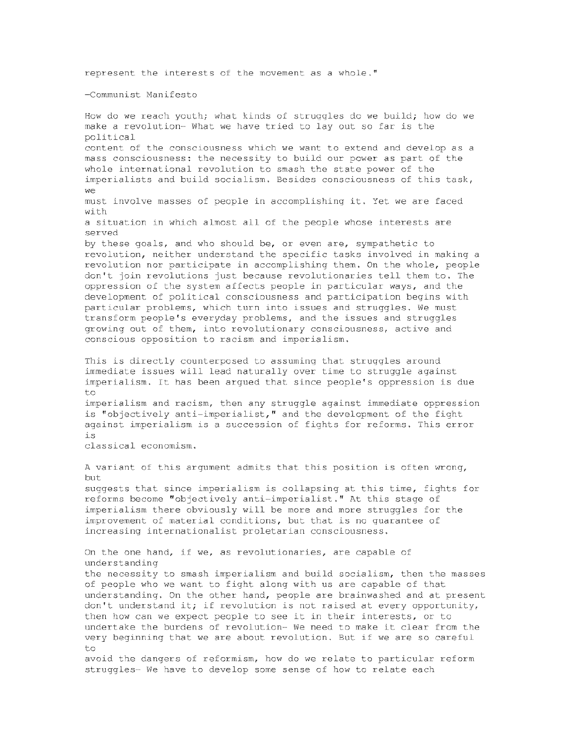represent the interests of the movement as a whole."

-Communist Manifesto

How do we reach youth; what kinds of struggles do make a revolution- What we have tried to lay out so far is the political content of the consciousness which we want to extend and develop as a mass consciousness: the necessity to build our power as part of the whole international revolution to smash the state power of the imperialists and build socialism. Besides consciousness of this task,  $\alpha$ must involve masses of people in accomplishing it. Yet we are faced  $w_i$ i th a situation in which almost all of the people whose interests are served by these goals, and who should be, or even are, sympathetic to revolution, neither understand the specific tasks involved in making a revolution nor participate in accomplishing them. On the whole, people don't join revolutions just because revolutionaries tell them to. The oppression of the system affects people in particular ways, and the development of political consciousness and participation begins with particular problems, which turn into issues and struggles. We must transform people's everyday problems, and the issues and struggles growing out of them, into revolutionary consciousness, active and conscious opposition to racism and imperialism. This is directly counterposed to assuming that struggles around immediate issues will lead naturally over time to struggle against imperialism, It has been arqued that since people's oppression is due  $\overline{a}$ imperialism and racism, then any struggle against immediate oppression is "objectively anti-imperialist," and the development of the fight against imperialism is a succession of fights for reforms. This error is classical economism. A variant of this argument admits that this position is often wrong, but. suggests that since imperialism is collapsing at this time, fights for reforms become "objectively anti-imperialist," At this stage of imperialism there obviously will be more and more struggles for the improvement of material conditions, but that is no quarantee of

On the one hand, if we, as revolutionaries, are capable of understanding the necessity to smash imperialism and build socialism, then the masses of people who we want to fight along with us are capable of that understanding. On the other hand, people are brainwashed and at present don't understand it; if revolution is not raised at every opportunity, then how can we expect people to see it in their interests, or to undertake the burdens of revolution- We need to make it clear from the very beginning that we are about revolution. But if we are so careful to avoid the dangers of reformism, how do we relate to particular reform

struggles- We have to develop some sense of how to relate each

increasing internationalist proletarian consciousness.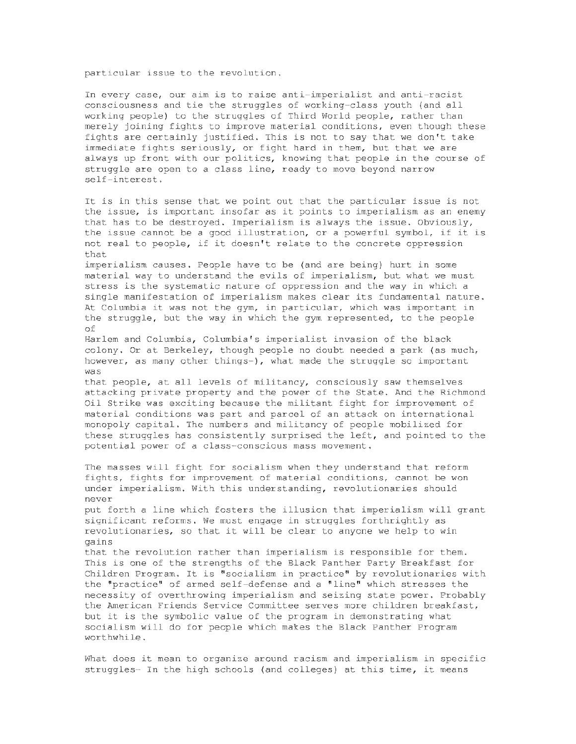particular issue to the revolution.

In every case, our aim is to raise ant i- imperialist and anti-racist consciousness and tie the struggles of working-class youth (and all working people) to the struggles of Third World people, rather than merely joining fights to improve material conditions, even though these fights are certainly justified. This is not to say that we don't take immediate fights seriously, or fight hard in them, but that we are always up front with our politics, knowing that people in the course of struggle are open to a class line, ready to move beyond narrow self-interest.

It is in this sense that we point out that the particular issue is not the issue, is important insofar as it points to imperialism as an enemy that has to be destroyed. Imperialism is always the issue. Obviously, the issue cannot be a good illustration, or a powerful symbol, if it is not real to people, if it doesn't relate to the concrete oppression that

imperialism causes . People have to be (and are being) hurt in some material way to understand the evils of imperialism, but what we must stress is the systematic nature of oppression and the way in which a single manifestation of imperialism makes clear its fundamental nature At Columbia it was not the gym, in particular, which was important in the struggle, but the way in which the gym represented, to the people of

Harlem and Columbia, Columbia's imperialist invasion of the black colony . Or at Berkeley, though people no doubt needed a park (as much, however, as many other things-), what made the struggle so important was

that people, at all levels of militancy, consciously saw themselves attacking private property and the power of the State. And the Richmond Oil Strike was exciting because the militant fight for improvement of material conditions was part and parcel of an attack on international monopoly capital . The numbers and militancy of people mobilized for these struggles has consistently surprised the left, and pointed to the potential power of a class-conscious mass movement

The masses will fight for socialism when they understand that reform fights, fights for improvement of material conditions, cannot be won under imperialism. With this understanding, revolutionaries should never

put forth a line which fosters the illusion that imperialism will grant significant reforms. We must engage in struggles forthrightly as revolutionaries, so that it will be clear to anyone we help to win gains

that the revolution rather than imperialism is responsible for them. This is one of the strengths of the Black Panther Party Breakfast for Children Program. It is "socialism in practice" by revolutionaries with the "practice" of armed self-defense and a "line" which stresses the necessity of overthrowing imperialism and seizing state power . Probably the American Friends Service Committee serves more children breakfast, but it is the symbolic value of the program in demonstrating what socialism will do for people which makes the Black Panther Program worthwhile

What does it mean to organize around racism and imperialism in specific struggles- In the high schools (and colleges) at this time, it means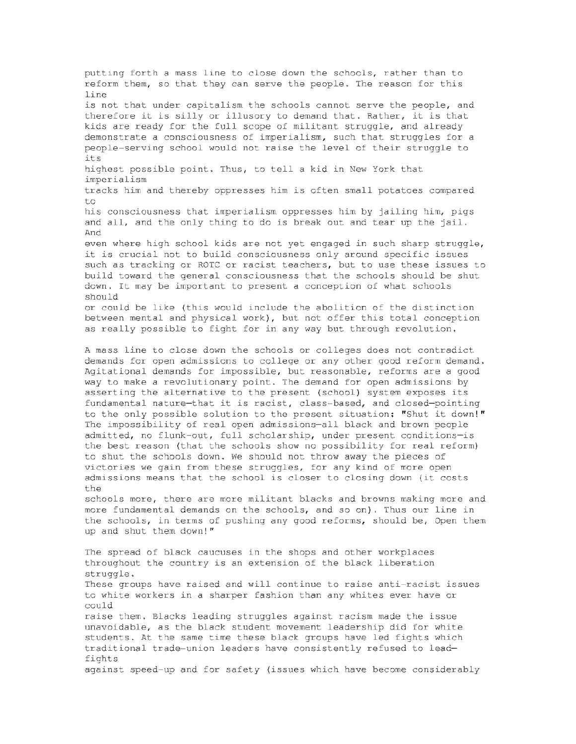<sup>f</sup> forth a mass line to closeline is not that under capitalism the schools cannot serve the people, and therefore it is silly or illusory to demand that. Rather, it is that kids are ready for the full scope of militant struggle, and already demonstrate a consciousness of imperialism, such that struggles for a people-serving school would not raise the level of their struggle to  $i + e$ highest possible point. Thus, to tell a kid in New York that imperialism tracks him and thereby oppresses him is often small potatoes compared t.o his consciousness that imperialism oppresses him by jailing him, pigs and all, and the only thing to do is break out and tear up the jail. And even where high school kids are not yet engaged in such sharp struggle, it is crucial not to build consciousness only around specific issues such as tracking or ROTC or racist teachers, but to use these issues to build toward the general consciousness that the schools should be shut down, It may be important to present a conception of what schools should or could be like (this would include the abolition of the distinction between mental and physical work), but not offer this total conception as really possible to fight for in any way but through revolution, A mass line to close down the schools or colleges does not contradict demands for open admissions to college or any other good reform demand. Agitational demands for impossible, but reasonable, reforms are a good way to make a revolutionary point. The demand for open admissions by asserting the alternative to the present (school) system exposes its fundamental nature-that it is racist, class-based, and closed-pointing to the only possible solution to the present situation: "Shut it down!" The impossibility of real open admissions-all black and brown people admitted, no flunk-out, full scholarship, under present conditions-is the best reason (that the schools show no possibility for real reform) to shut the schools down, We should not throw away the pieces of victories we gain from these struggles, for any kind of more open admissions means that the school is closer to closing down (it costs the schools more, there are more militant blacks and browns making more and more fundamental demands on the schools, and so on). Thus our line in the schools, in terms of pushing any good reforms, should be, Open them up and shut them down!" The spread of black caucuses in the shops and other workplaces throughout the country is an extension of the black liberation struggle. These groups have raised and will continue to raise anti-racist issues to white workers in a sharper fashion than any whites ever have or could raise them. Blacks leading struggles against racism made the issue unavoidable, as the black student movement leadership did for white students. At the same time these black groups have led fights which traditional trade-union leaders have consistently refused to lead-

against speed-up and for safety (issues which have become considerably

fights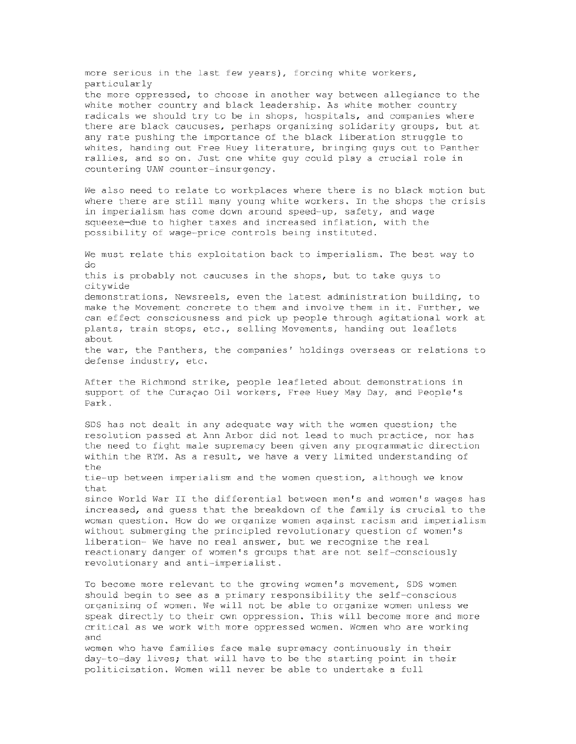more serious in the last few years), forcing white workers, particularly the more oppressed, to choose in another way between allegiance to the white mother country and black leadership. As white mother country radicals we should try to be in shops, hospitals, and companies where there are black caucuses, perhaps organizing solidarity groups , but at any rate pushing the importance of the black liberation struggle to whites, handing out Free Huey literature, bringing guys out to Panther rallies, and so on. Just one white guy could play a crucial role in countering UAW counter-insurgency.

We also need to relate to workplaces where there is no black motion but where there are still many young white workers. In the shops the crisis in imperialism has come down around speed-up, safety, and wage squeeze—due to higher taxes and increased inflation, with the possibility of wage-price controls being instituted.

We must relate this exploitation back to imperialism. The best way to this is probably not caucuses in the shops, but to take guys to docitywide demonstrations, Newsreels, even the latest administration building, to make the Movement concrete to them and involve them in it. Further, we can effect consciousness and pick up people through agitational wo plants, train stops, etc., selling Movements, handing out leaflets the war, the Panthers, the companies' holdings overseas or relations to defense industry, etc

After the Richmond strike, people leafleted about demonstrations in<br>support of the Curacao Oil workers. Free Huey May Day, and People's Park.

SDS has not dealt in any adequate way with the women question; the resolution passed at Ann Arbor did not lead to much practice, nor has the need to fight male supremacy been given any programmatic direction within the RYM, As a result, we have a very limited understanding of the

tie-up between imperialism and the women question, although we know that.

since World War II the differential between men's and women's wages has increased, and quess that the breakdown of the family is crucial to the woman question, How do we organize women against racism and imperialism without submerging the principled revolutionary question of women's liberation- We have no real answer, but we recognize the real reactionary danger of women's groups that are not self-consciously revolutionary and anti-imperialist.

To become more relevant to the growing women's movement, SDS women should begin to see as a primary responsibility the self-conscious organizing of women. We will not be able to organize women unless we speak directly to their own oppression. This will become more and more critical as we work with more oppressed women, Women who are working and

women who have families face male supremacy continuously in their dav-to-day lives; that will have to be the starting point in their politicization. Women will never be able to undertake a full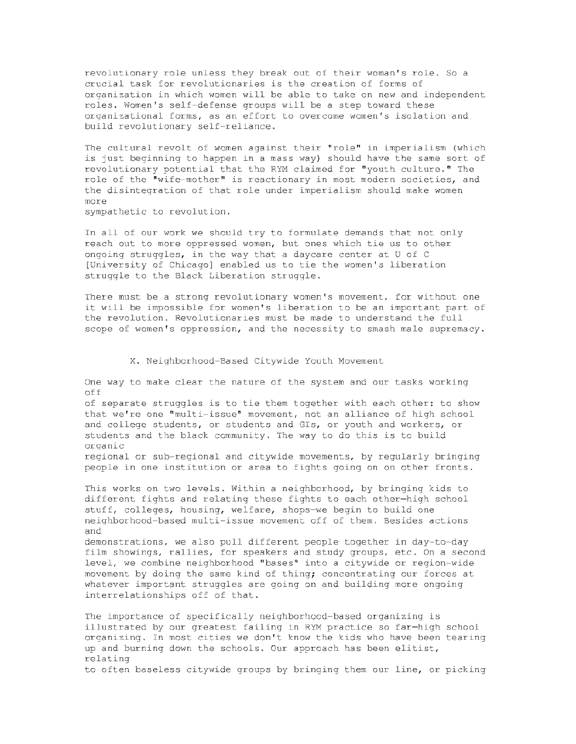revolutionary role unless they break out of their woman's role. So a crucial task for revolutionaries is the creation of forms of organization in which women will be able to take on new and independent roles. Women's self-defense groups will be a step toward these organizational forms, as an effort to overcome women's isolation and build revolutionary self-reliance

The cultural revolt of women against their "role" in imperialism (which is just beginning to happen in a mass way) should have the same sort of revolutionary potential that the RYM claimed for "youth culture." The role of the "wife-mother" is reactionary in most modern societies, and the disintegration of that role under imperialism should make women

sympathetic to revolution

In all of our work we should try to formulate demands that not only reach out to more oppressed women, but ones which tie us to other ongoing struggles, in the way that a daycare center at U of C [University of Chicago] enabled us to tie the women's liberation struggle to the Black Liberation struggle

There must be a strong revolutionary women's movement, for without one it will be impossible for women's liberation to be an important part of the revolution. Revolutionaries must be made to understand the full scope of women's oppression, and the necessity to smash male supremacy.

#### X. Neighborhood-Based Citywide Youth Movement

One way to make clear the nature of the system and our tasks working off of separate struggles is to tie them together with each other: to show that we're one "multi-issue" movement, not an alliance of high school and college students, or students and GIs, or youth and workers, or students and the black community . The way to do this is to build organic regional or sub-regional and citywide movements, by regularly bringing people in one institution or area to fights going on on other fronts.

This works on two levels. Within a neighborhood, by bringing kids to different fights and relating these fights to each other-high school stuff, colleges, housing, welfare, shops-we begin to build one neighborhood-based multi-issue movement off of them. Besides actions and

demonstrations, we also pull different people together in day-to-day film showings, rallies, for speakers and study groups, etc. On a second level, we combine neighborhood "bases" into a citywide or region-wide movement by doing the same kind of thing; concentrating our forces at whatever important struggles are going on and building more ongoing interrelationships off of that.

The importance of specifically neighborhood-based organizing is illustrated by our greatest failing in RYM practice so far-high school organizing. In most cities we don't know the kids who have been tearing up and burning down the schools. Our approach has been elitist, relating to often baseless citywide groups by bringing them our line, or picking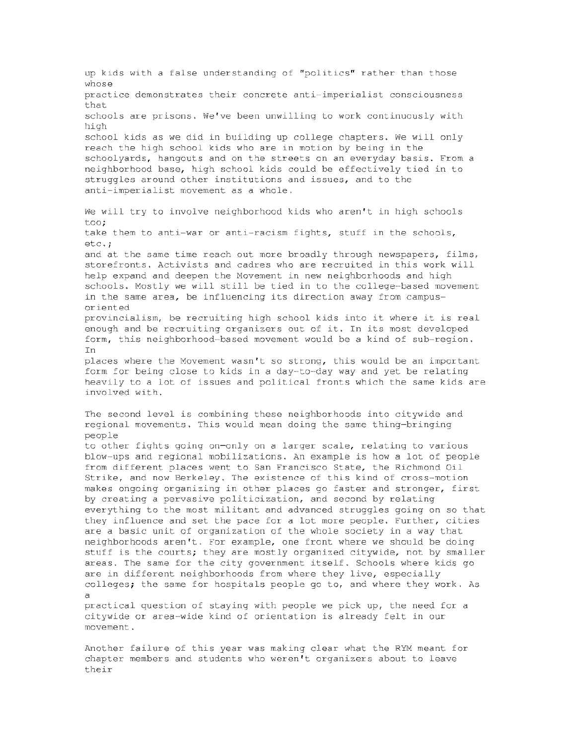up kids with a false understanding of "politics" rather than those practice demonstrates their concrete ant i- imperialist consciousness that schools are prisons. We've been unwilling to work continuously with high school kids as we did in building up college chapters . We will only reach the high school kids who are in motion by being in the schoolyards, hangouts and on the streets on an everyday basis. From a neighborhood base, high school kids could be effectively tied in to struggles around other institutions and issues, and to the anti-imperialist movement as a whole We will try to involve neighborhood kids who aren't in high schools too; take them to anti-war or anti-racism fights, stuff in the schools, etc. ; and at the same time reach out more broadly through newspapers, films, storefronts . Activists and cadres who are recruited in this work will help expand and deepen the Movement in new neighborhoods and high schools. Mostly we will still be tied in to the college-based movement in the same area, be influencing its direction away from campus oriented provincialism, be recruiting high school kids into it where it is real enough and be recruiting organizers out of it. In its most developed form, this neighborhood-based movement would be a kind of sub-region Inplaces where the Movement wasn't so strong, this would be an important form for being close to kids in a day-to-day way and yet be relating heavily to a lot of issues and political fronts which the same kids are involved with. The second level is combining these neighborhoods into citywide and regional movements . This would mean doing the same thing—bringing people to other fights going on—only on a larger scale, relating to various blow-ups and regional mobilizations. An example is how a lot of people from different places went to San Francisco State, the Richmond Oil Strike, and now Berkeley . The existence of this kind of cross-motion makes ongoing organizing in other places go faster and stronger, first by creating a pervasive politicization, and second by relating everything to the most militant and advanced struggles going on so that they influence and set the pace for a lot more people. Further, cities are a basic unit of organization of the whole society in a way that neighborhoods aren't. For example, one front where we should be doing stuff is the courts; they are mostly organized citywide, not by smaller areas. The same for the city government itself. Schools where kids go are in different neighborhoods from where they live, especially colleges; the same for hospitals people go to, and where they work. As  $\mathbb{R}$ practical question of staying with people we pick up, the need for a<br>citywide or area-wide kind of orientation is already felt in our movement. Another failure of this year was making clear what the RYM meant for

chapter members and students who weren't organizers about to leave their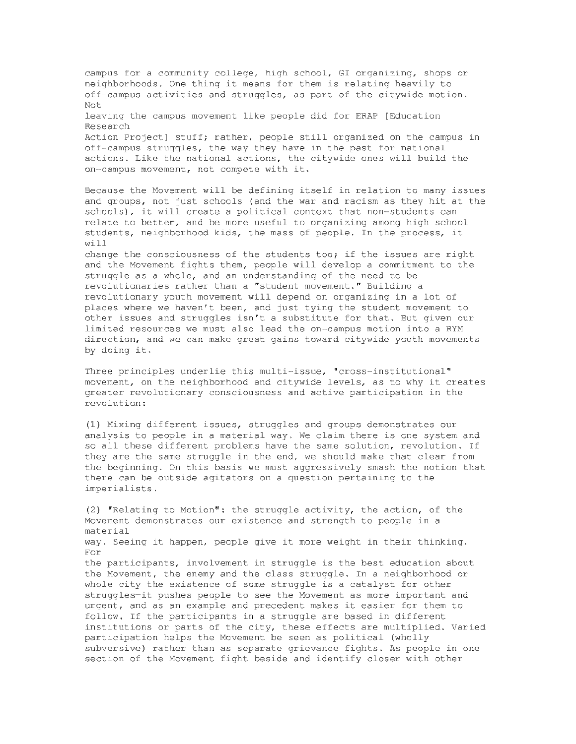campus for a community college, high school, GI organizing, shops or neighborhoods. One thing it means for them is relating heavily to of f-campus activities and struggles, as part of the citywide motion Not leaving the campus movement like people did for ERAP [Education Research Action Project] stuff; rather, people still organized on the campus in of f-campus struggles, the way they have in the past for national actions . Like the national actions, the citywide ones will build the on-campus movement, not compete with it.

Because the Movement will be defining itself in relation to many issues and groups, not just schools (and the war and racism as they hit at the schools), it will create a political context that non-students can relate to better, and be more useful to organizing among high school students , neighborhood kids, the mass of people . In the process, it will

change the consciousness of the students too; if the issues are right and the Movement fights them, people will develop a commitment to the struggle as a whole, and an understanding of the need to be revolutionaries rather than a "student movement. " Building a revolutionary youth movement will depend on organizing in a lot of places where we haven't been, and just tying the student movement to other issues and struggles isn't a substitute for that. But given our limited resources we must also lead the on-campus motion into a RYM direction, and we can make great gains toward citywide youth movements by doing it

Three principles underlie this multi-issue, "cross-institutional" movement, on the neighborhood and citywide levels, as to why it creates greater revolutionary consciousness and active participation in the revolution:

(1 Mixing different issues, struggles and groups demonstrates our analysis to people in a material way . We claim there is one system and so all these different problems have the same solution, revolution. If they are the same struggle in the end, we should make that clear from the beginning. On this basis we must aggressively smash the notion that there can be outside agitators on a question pertaining to the imperialists

(2) "Relating to Motion": the struggle activity, the action, of the Movement demonstrates our existence and strength to people in a material way. Seeing it happen, people give it more weight in their thinking. For the participants, involvement in struggle is the best education about the Movement, the enemy and the class struggle. In a neighborhood or whole city the existence of some struggle is a catalyst for other struggles—it pushes people to see the Movement as more important and urgent, and as an example and precedent makes it easier for them to follow. If the participants in a struggle are based in different institutions or parts of the city, these effects are multiplied. Varied participation helps the Movement be seen as political (wholly subversive) rather than as separate grievance fights. As people in one section of the Movement fight beside and identify closer with other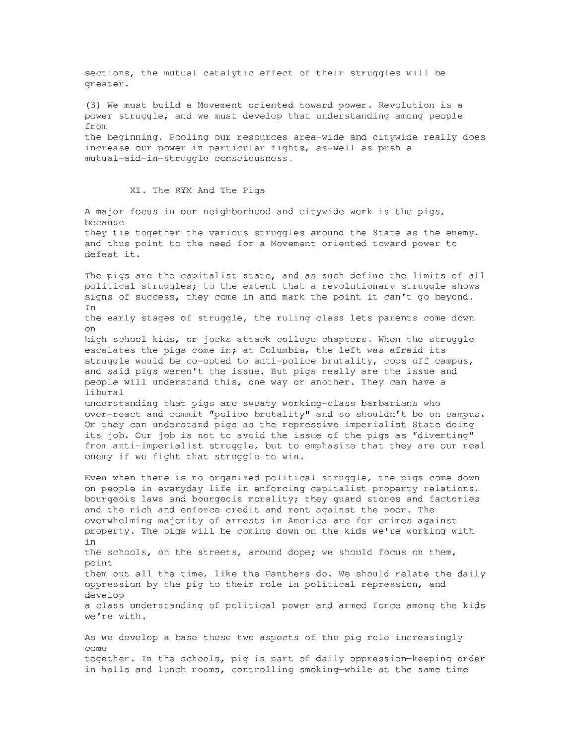sections, the mutual catalytic effect of their struggles will be greater. (3 ) We must build a Movement oriented toward power . Revolution is a power struggle, and we must develop that understanding among people from the beginning. Pooling our resources area-wide and citywide really does increase our power in particular fights, as-well as push a mutual-aid-in-struggle consciousness XI . The RYM And The Pigs A major focus in our neighborhood and citywide work is the pigs, they tie together the various struggles around the State as the enemy, and thus point to the need for a Movement oriented toward power to defeat it. The pigs are the capitalist state, and as such define the limits of all political struggles; to the extent that a revolutionary struggle shows signs of success, they come in and mark the point it can't go beyond. Inthe early stages of struggle, the ruling class lets parents come down on. high school kids, or jocks attack college chapters . When the struggle escalates the pigs come in; at Columbia, the left was afraid its struggle would be co-opted to anti-police brutality, cops off campus, and said pigs weren't the issue. But pigs really are the issue and people will understand this, one way or another. They can have a liberal understanding that pigs are sweaty working-class barbarians who over-react and commit "police brutality" and so shouldn't be on campus. Or they can understand pigs as the repressive imperialist State doing its job. Our job is not to avoid the issue of the pigs as "diverting" from anti-imperialist struggle, but to emphasize that they are our real enemy if we fight that struggle to win. Even when there is no organized political struggle, the pigs come down on people in everyday life in enforcing capitalist property relations, bourgeois laws and bourgeois morality; they guard stores and factories and the rich and enforce credit and rent against the poor. The overwhelming majority of arrests in America are for crimes against property. The pigs will be coming down on the kids we're working with in the schools, on the streets, around dope; we should focus on them, point them out all the time, like the Panthers do. We should relate the daily oppression by the pig to their role in political repression, and develop a class understanding of political power and armed force among the kids As we develop a base these two aspects of the pig role increasingly come together . In the schools , pig is part of daily oppression—keeping order in halls and lunch rooms, controlling smoking—while at the same time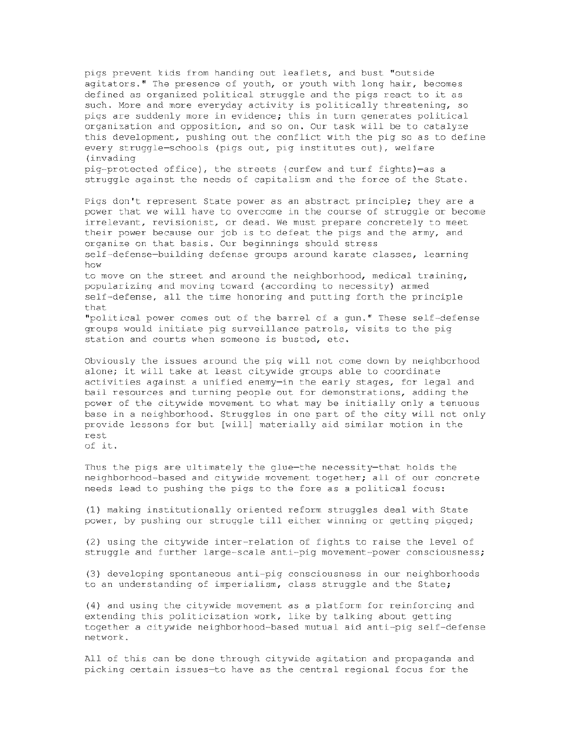pigs prevent kids from handing out leaflets, and bust "outside agitators." The presence of youth, or youth with long hair, becomes defined as organized political struggle and the pigs react to it as such. More and more everyday activity is politically threatening, so pigs are suddenly more in evidence: this in turn generates political organization and opposition, and so on. Our task will be to catalyze this development, pushing out the conflict with the pig so as to define every struggle-schools (pigs out, pig institutes out), welfare (invading pig-protected office), the streets (curfew and turf fights)-as a struggle against the needs of capitalism and the force of the State.

Pigs don't represent State power as an abstract principle; they are a power that we will have to overcome in the course of struggle or become irrelevant, revisionist, or dead. We must prepare concretely to meet their power because our job is to defeat the pigs and the army, and organize on that basis. Our beginnings should stress self-defense-building defense groups around karate classes, learning<br>how

to move on the street and around the neighborhood, medical training, popularizing and moving toward (according to necessity) armed self-defense, all the time honoring and putting forth the principle that

"political power comes out of the barrel of a gun." These self-defense groups would initiate pig surveillance patrols, visits to the pig station and courts when someone is busted, etc.

Obviously the issues around the pig will not come down by neighborhood alone; it will take at least citywide groups able to coordinate activities against a unified enemy-in the early stages, for legal and bail resources and turning people out for demonstrations, adding the power of the citywide movement to what may be initially only a tenuous base in a neighborhood, Struggles in one part of the city will not only provide lessons for but [will] materially aid similar motion in the rest. of it.

Thus the pigs are ultimately the glue-the necessity-that holds the neighborhood-based and citywide movement together; all of our concrete needs lead to pushing the pigs to the fore as a political focus:

(1) making institutionally oriented reform struggles deal with State power, by pushing our struggle till either winning or getting pigged:

(2) using the citywide inter-relation of fights to raise the level of struggle and further large-scale anti-pig movement-power consciousness;

(3) developing spontaneous anti-pig consciousness in our neighborhoods to an understanding of imperialism, class struggle and the State;

(4) and using the citywide movement as a platform for reinforcing and extending this politicization work, like by talking about getting together a citywide neighborhood-based mutual aid anti-pig self-defense network.

All of this can be done through citywide agitation and propaganda and picking certain issues-to have as the central regional focus for the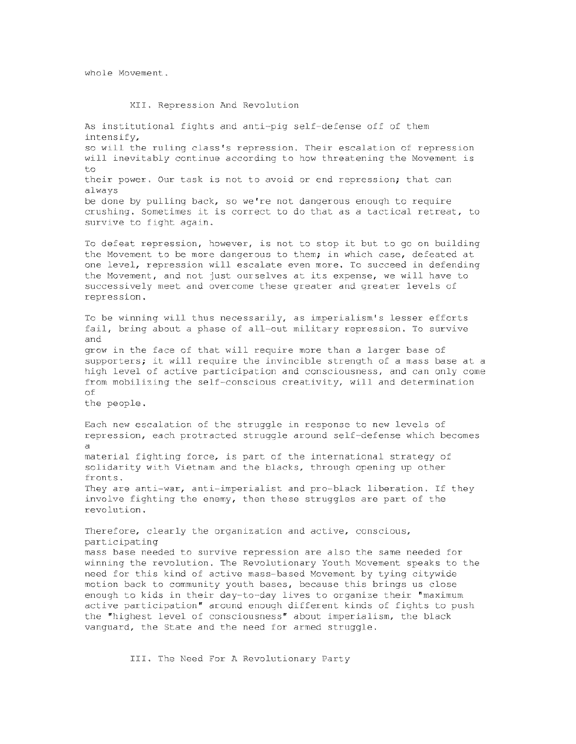whole Movement

#### XII. Repression And Revolution

As institutional fights and anti-pig self-defense off of them intensify, so will the ruling class's repression. Their escalation of repression will inevitably continue according to how threatening the Movement is totheir power . Our task is not to avoid or end repression; that can always be done by pulling back, so we 're not dangerous enough to require crushing . Sometimes it is correct to do that as a tactical retreat, to survive to fight again To defeat repression, however, is not to stop it but to go on building the Movement to be more dangerous to them; in which case, defeated at one level, repression will escalate even more. To succeed in defending the Movement, and not just ourselves at its expense, we will have to successively meet and overcome these greater and greater levels of repression To be winning will thus necessarily, as imperialism's lesser efforts fail, bring about a phase of all-out military repression . To survive and grow in the face of that will require more than a larger base of supporters; it will require the invincible strength of a mass base at a high level of active participation and consciousness, and can only come from mobilizing the self-conscious creativity, will and determination of the people. Each new escalation of the struggle in response to new levels of repression, each protracted struggle around self-defense which becomes

 $\mathbb{R}$ material fighting force, is part of the international strategy of solidarity with Vietnam and the blacks, through opening up other fronts. They are anti-war, anti-imperialist and pro-black liberation. If they involve fighting the enemy, then these struggles are part of the revolution.

Therefore, clearly the organization and active, conscious, participating mass base needed to survive repression are also the same needed for winning the revolution, The Revolutionary Youth Movement speaks to the need for this kind of active mass-based Movement by tying citywide motion back to community youth bases, because this brings us close enough to kids in their day-to-day lives to organize their "maximum active participation" around enough different kinds of fights to push the "highest level of consciousness" about imperialism, the black vanquard, the State and the need for armed struggle.

III. The Need For A Revolutionary Party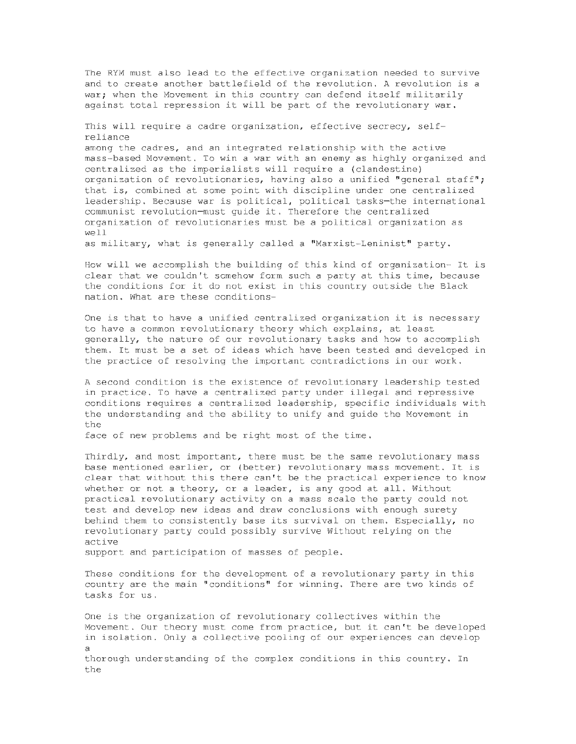The RYM must also lead to the effective organization needed to survive and to create another battlefield of the revolution. A revolution is a war; when the Movement in this country can defend itself militarily against total repression it will be part of the revolutionary war

This will reguire a cadre organization, effective secrecy, self reliance

among the cadres, and an integrated relationship with the active mass-based Movement . To win a war with an enemy as highly organized and centralized as the imperialists will require a (clandestine) organization of revolutionaries, having also a unified "general staff"; that is, combined at some point with discipline under one centralized leadership . Because war is political, political tasks—the international communist revolution-must quide it. Therefore the centralized organization of revolutionaries must be a political organization as well

as military, what is generally called a "Marxist-Leninist" party.

How will we accomplish the building of this kind of organization- It is clear that we couldn't somehow form such a party at this time, because the conditions for it do not exist in this country outside the Black nation. What are these conditions-

One is that to have a unified centralized organization it is necessary to have a common revolutionary theory which explains, at least generally, the nature of our revolutionary tasks and how to accomplish them . It must be a set of ideas which have been tested and developed in the practice of resolving the important contradictions in our work

A second condition is the existence of revolutionary leadership tested in practice. To have a centralized party under illegal and repressive conditions requires a centralized leadership, specific individuals with the understanding and the ability to unify and guide the Movement in the

face of new problems and be right most of the time.

Thirdly, and most important, there must be the same revolutionary mass base mentioned earlier, or (better) revolutionary mass movement. It is clear that without this there can't be the practical experience to know whether or not a theory, or a leader, is any good at all. Without practical revolutionary activity on a mass scale the party could not test and develop new ideas and draw conclusions with enough surety behind them to consistently base its survival on them. Especially, no revolutionary party could possibly survive Without relying on the active

support and participation of masses of people

These conditions for the development of a revolutionary party in this country are the main "conditions" for winning. There are two kinds of<br>tasks for us.

One is the organization of revolutionary collectives within the Movement. Our theory must come from practice, but it can't be developed in isolation . Only a collective pooling of our experiences can develop

thorough understanding of the complex conditions in this country. In the